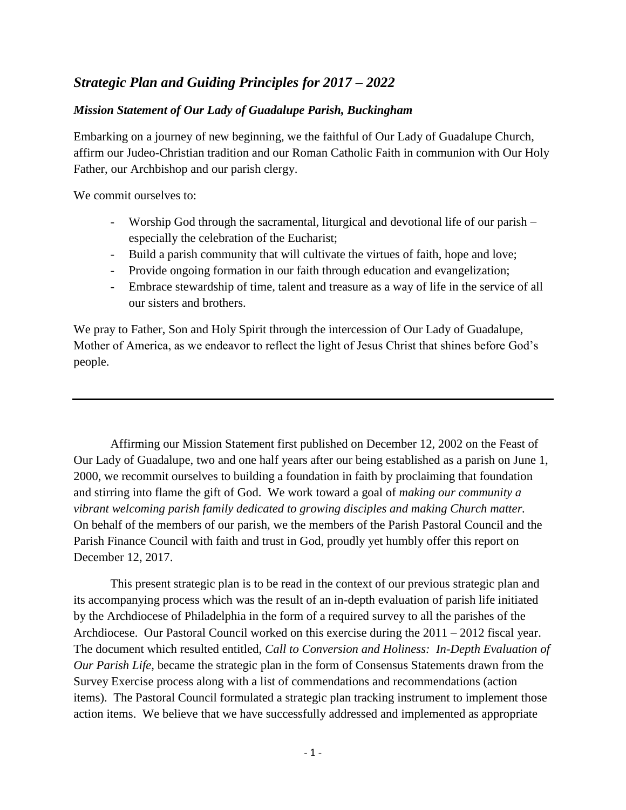# *Strategic Plan and Guiding Principles for 2017 – 2022*

### *Mission Statement of Our Lady of Guadalupe Parish, Buckingham*

Embarking on a journey of new beginning, we the faithful of Our Lady of Guadalupe Church, affirm our Judeo-Christian tradition and our Roman Catholic Faith in communion with Our Holy Father, our Archbishop and our parish clergy.

We commit ourselves to:

- Worship God through the sacramental, liturgical and devotional life of our parish especially the celebration of the Eucharist;
- Build a parish community that will cultivate the virtues of faith, hope and love;
- Provide ongoing formation in our faith through education and evangelization;
- Embrace stewardship of time, talent and treasure as a way of life in the service of all our sisters and brothers.

We pray to Father, Son and Holy Spirit through the intercession of Our Lady of Guadalupe, Mother of America, as we endeavor to reflect the light of Jesus Christ that shines before God's people.

Affirming our Mission Statement first published on December 12, 2002 on the Feast of Our Lady of Guadalupe, two and one half years after our being established as a parish on June 1, 2000, we recommit ourselves to building a foundation in faith by proclaiming that foundation and stirring into flame the gift of God. We work toward a goal of *making our community a vibrant welcoming parish family dedicated to growing disciples and making Church matter.* On behalf of the members of our parish, we the members of the Parish Pastoral Council and the Parish Finance Council with faith and trust in God, proudly yet humbly offer this report on December 12, 2017.

This present strategic plan is to be read in the context of our previous strategic plan and its accompanying process which was the result of an in-depth evaluation of parish life initiated by the Archdiocese of Philadelphia in the form of a required survey to all the parishes of the Archdiocese. Our Pastoral Council worked on this exercise during the 2011 – 2012 fiscal year. The document which resulted entitled, *Call to Conversion and Holiness: In-Depth Evaluation of Our Parish Life,* became the strategic plan in the form of Consensus Statements drawn from the Survey Exercise process along with a list of commendations and recommendations (action items). The Pastoral Council formulated a strategic plan tracking instrument to implement those action items. We believe that we have successfully addressed and implemented as appropriate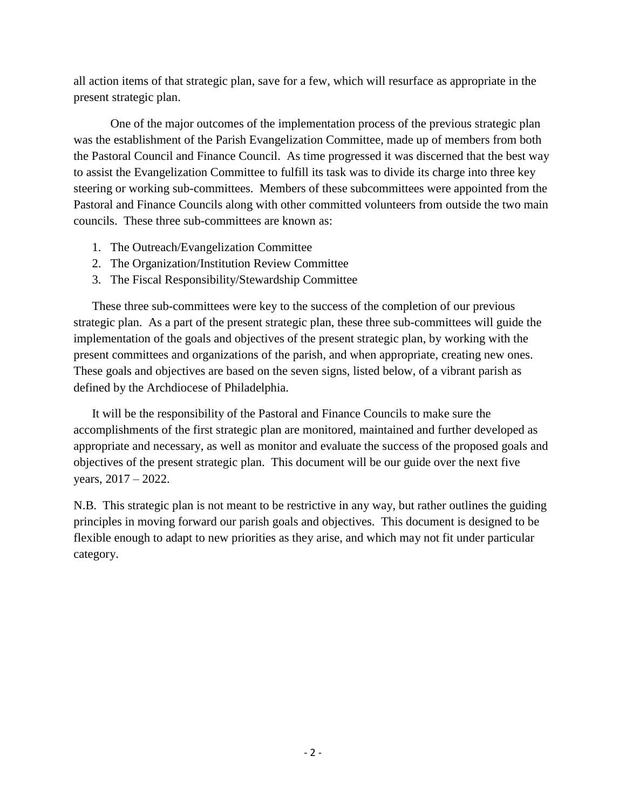all action items of that strategic plan, save for a few, which will resurface as appropriate in the present strategic plan.

One of the major outcomes of the implementation process of the previous strategic plan was the establishment of the Parish Evangelization Committee, made up of members from both the Pastoral Council and Finance Council. As time progressed it was discerned that the best way to assist the Evangelization Committee to fulfill its task was to divide its charge into three key steering or working sub-committees. Members of these subcommittees were appointed from the Pastoral and Finance Councils along with other committed volunteers from outside the two main councils. These three sub-committees are known as:

- 1. The Outreach/Evangelization Committee
- 2. The Organization/Institution Review Committee
- 3. The Fiscal Responsibility/Stewardship Committee

These three sub-committees were key to the success of the completion of our previous strategic plan. As a part of the present strategic plan, these three sub-committees will guide the implementation of the goals and objectives of the present strategic plan, by working with the present committees and organizations of the parish, and when appropriate, creating new ones. These goals and objectives are based on the seven signs, listed below, of a vibrant parish as defined by the Archdiocese of Philadelphia.

It will be the responsibility of the Pastoral and Finance Councils to make sure the accomplishments of the first strategic plan are monitored, maintained and further developed as appropriate and necessary, as well as monitor and evaluate the success of the proposed goals and objectives of the present strategic plan. This document will be our guide over the next five years, 2017 – 2022.

N.B. This strategic plan is not meant to be restrictive in any way, but rather outlines the guiding principles in moving forward our parish goals and objectives. This document is designed to be flexible enough to adapt to new priorities as they arise, and which may not fit under particular category.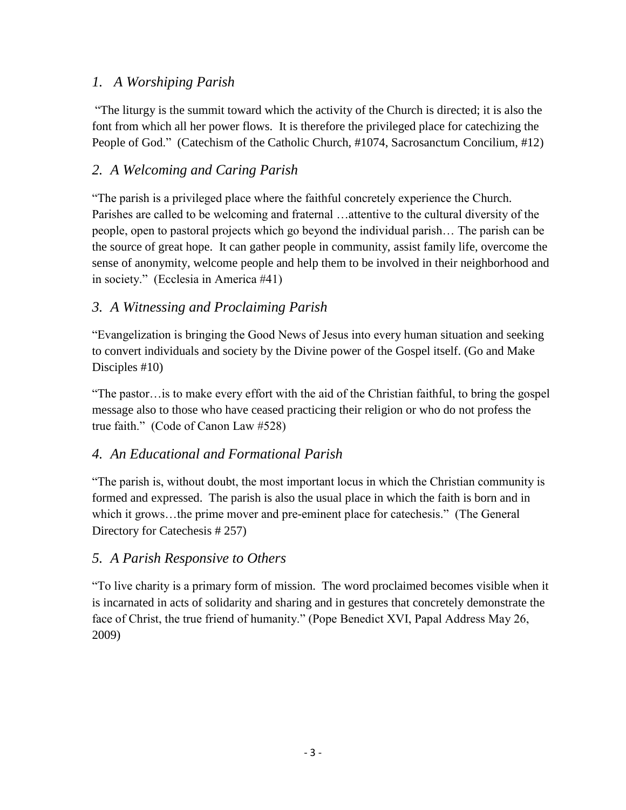# *1. A Worshiping Parish*

"The liturgy is the summit toward which the activity of the Church is directed; it is also the font from which all her power flows. It is therefore the privileged place for catechizing the People of God." (Catechism of the Catholic Church, #1074, Sacrosanctum Concilium, #12)

# *2. A Welcoming and Caring Parish*

"The parish is a privileged place where the faithful concretely experience the Church. Parishes are called to be welcoming and fraternal …attentive to the cultural diversity of the people, open to pastoral projects which go beyond the individual parish… The parish can be the source of great hope. It can gather people in community, assist family life, overcome the sense of anonymity, welcome people and help them to be involved in their neighborhood and in society." (Ecclesia in America #41)

# *3. A Witnessing and Proclaiming Parish*

"Evangelization is bringing the Good News of Jesus into every human situation and seeking to convert individuals and society by the Divine power of the Gospel itself. (Go and Make Disciples #10)

"The pastor…is to make every effort with the aid of the Christian faithful, to bring the gospel message also to those who have ceased practicing their religion or who do not profess the true faith." (Code of Canon Law #528)

## *4. An Educational and Formational Parish*

"The parish is, without doubt, the most important locus in which the Christian community is formed and expressed. The parish is also the usual place in which the faith is born and in which it grows…the prime mover and pre-eminent place for catechesis." (The General Directory for Catechesis # 257)

## *5. A Parish Responsive to Others*

"To live charity is a primary form of mission. The word proclaimed becomes visible when it is incarnated in acts of solidarity and sharing and in gestures that concretely demonstrate the face of Christ, the true friend of humanity." (Pope Benedict XVI, Papal Address May 26, 2009)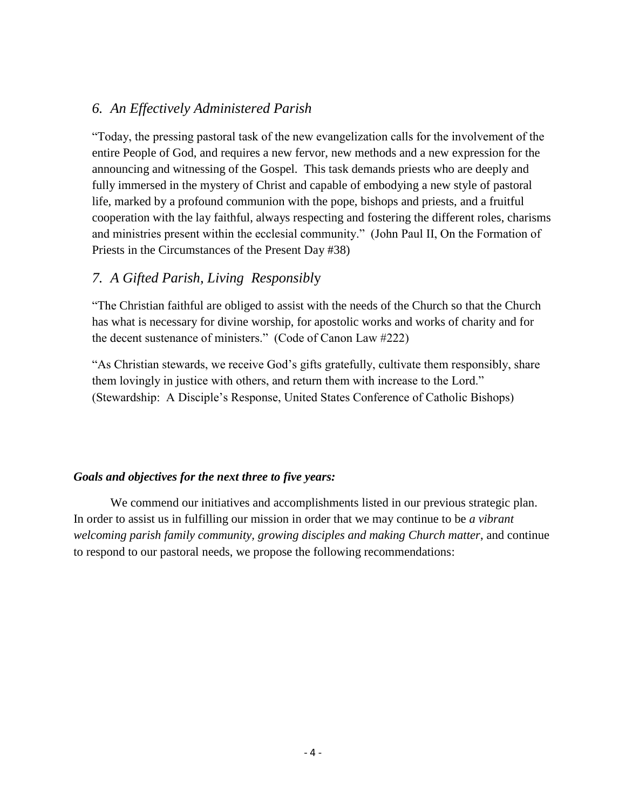### *6. An Effectively Administered Parish*

"Today, the pressing pastoral task of the new evangelization calls for the involvement of the entire People of God, and requires a new fervor, new methods and a new expression for the announcing and witnessing of the Gospel. This task demands priests who are deeply and fully immersed in the mystery of Christ and capable of embodying a new style of pastoral life, marked by a profound communion with the pope, bishops and priests, and a fruitful cooperation with the lay faithful, always respecting and fostering the different roles, charisms and ministries present within the ecclesial community." (John Paul II, On the Formation of Priests in the Circumstances of the Present Day #38)

## *7. A Gifted Parish, Living Responsibl*y

"The Christian faithful are obliged to assist with the needs of the Church so that the Church has what is necessary for divine worship, for apostolic works and works of charity and for the decent sustenance of ministers." (Code of Canon Law #222)

"As Christian stewards, we receive God's gifts gratefully, cultivate them responsibly, share them lovingly in justice with others, and return them with increase to the Lord." (Stewardship: A Disciple's Response, United States Conference of Catholic Bishops)

#### *Goals and objectives for the next three to five years:*

We commend our initiatives and accomplishments listed in our previous strategic plan. In order to assist us in fulfilling our mission in order that we may continue to be *a vibrant welcoming parish family community, growing disciples and making Church matter*, and continue to respond to our pastoral needs, we propose the following recommendations: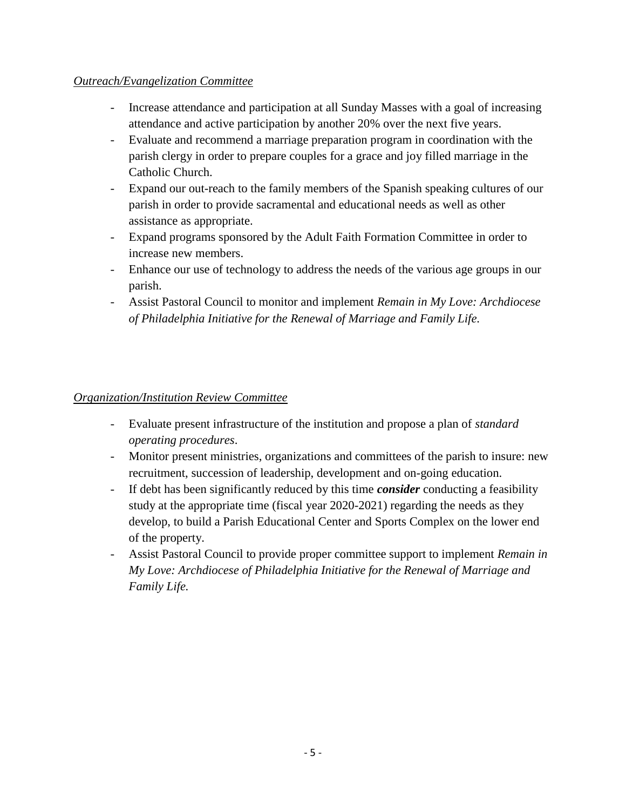#### *Outreach/Evangelization Committee*

- Increase attendance and participation at all Sunday Masses with a goal of increasing attendance and active participation by another 20% over the next five years.
- Evaluate and recommend a marriage preparation program in coordination with the parish clergy in order to prepare couples for a grace and joy filled marriage in the Catholic Church.
- Expand our out-reach to the family members of the Spanish speaking cultures of our parish in order to provide sacramental and educational needs as well as other assistance as appropriate.
- Expand programs sponsored by the Adult Faith Formation Committee in order to increase new members.
- Enhance our use of technology to address the needs of the various age groups in our parish.
- Assist Pastoral Council to monitor and implement *Remain in My Love: Archdiocese of Philadelphia Initiative for the Renewal of Marriage and Family Life.*

### *Organization/Institution Review Committee*

- Evaluate present infrastructure of the institution and propose a plan of *standard operating procedures*.
- Monitor present ministries, organizations and committees of the parish to insure: new recruitment, succession of leadership, development and on-going education.
- If debt has been significantly reduced by this time *consider* conducting a feasibility study at the appropriate time (fiscal year 2020-2021) regarding the needs as they develop, to build a Parish Educational Center and Sports Complex on the lower end of the property.
- Assist Pastoral Council to provide proper committee support to implement *Remain in My Love: Archdiocese of Philadelphia Initiative for the Renewal of Marriage and Family Life.*